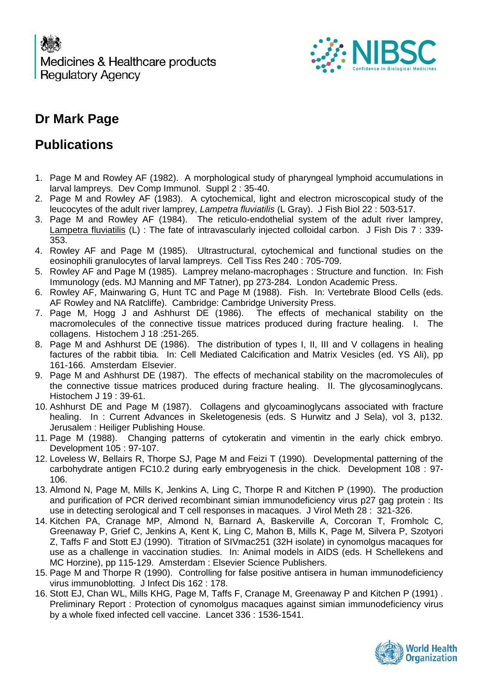

#### **Dr Mark Page**

#### **Publications**

- 1. Page M and Rowley AF (1982). A morphological study of pharyngeal lymphoid accumulations in larval lampreys. Dev Comp Immunol. Suppl 2 : 35-40.
- 2. Page M and Rowley AF (1983). A cytochemical, light and electron microscopical study of the leucocytes of the adult river lamprey, *Lampetra fluviatilis* (L Gray). J Fish Biol 22 : 503-517.
- 3. Page M and Rowley AF (1984). The reticulo-endothelial system of the adult river lamprey, Lampetra fluviatilis (L) : The fate of intravascularly injected colloidal carbon. J Fish Dis 7 : 339-353.
- 4. Rowley AF and Page M (1985). Ultrastructural, cytochemical and functional studies on the eosinophili granulocytes of larval lampreys. Cell Tiss Res 240 : 705-709.
- 5. Rowley AF and Page M (1985). Lamprey melano-macrophages : Structure and function. In: Fish Immunology (eds. MJ Manning and MF Tatner), pp 273-284. London Academic Press.
- 6. Rowley AF, Mainwaring G, Hunt TC and Page M (1988). Fish. In: Vertebrate Blood Cells (eds. AF Rowley and NA Ratcliffe). Cambridge: Cambridge University Press.
- 7. Page M, Hogg J and Ashhurst DE (1986). The effects of mechanical stability on the macromolecules of the connective tissue matrices produced during fracture healing. I. The collagens. Histochem J 18 :251-265.
- 8. Page M and Ashhurst DE (1986). The distribution of types I, II, III and V collagens in healing factures of the rabbit tibia. In: Cell Mediated Calcification and Matrix Vesicles (ed. YS Ali), pp 161-166. Amsterdam Elsevier.
- 9. Page M and Ashhurst DE (1987). The effects of mechanical stability on the macromolecules of the connective tissue matrices produced during fracture healing. II. The glycosaminoglycans. Histochem J 19 : 39-61.
- 10. Ashhurst DE and Page M (1987). Collagens and glycoaminoglycans associated with fracture healing. In : Current Advances in Skeletogenesis (eds. S Hurwitz and J Sela), vol 3, p132. Jerusalem : Heiliger Publishing House.
- 11. Page M (1988). Changing patterns of cytokeratin and vimentin in the early chick embryo. Development 105 : 97-107.
- 12. Loveless W, Bellairs R, Thorpe SJ, Page M and Feizi T (1990). Developmental patterning of the carbohydrate antigen FC10.2 during early embryogenesis in the chick. Development 108 : 97- 106.
- 13. Almond N, Page M, Mills K, Jenkins A, Ling C, Thorpe R and Kitchen P (1990). The production and purification of PCR derived recombinant simian immunodeficiency virus p27 gag protein : Its use in detecting serological and T cell responses in macaques. J Virol Meth 28 : 321-326.
- 14. Kitchen PA, Cranage MP, Almond N, Barnard A, Baskerville A, Corcoran T, Fromholc C, Greenaway P, Grief C, Jenkins A, Kent K, Ling C, Mahon B, Mills K, Page M, Silvera P, Szotyori Z, Taffs F and Stott EJ (1990). Titration of SIVmac251 (32H isolate) in cynomolgus macaques for use as a challenge in vaccination studies. In: Animal models in AIDS (eds. H Schellekens and MC Horzine), pp 115-129. Amsterdam : Elsevier Science Publishers.
- 15. Page M and Thorpe R (1990). Controlling for false positive antisera in human immunodeficiency virus immunoblotting. J Infect Dis 162 : 178.
- 16. Stott EJ, Chan WL, Mills KHG, Page M, Taffs F, Cranage M, Greenaway P and Kitchen P (1991) . Preliminary Report : Protection of cynomolgus macaques against simian immunodeficiency virus by a whole fixed infected cell vaccine. Lancet 336 : 1536-1541.

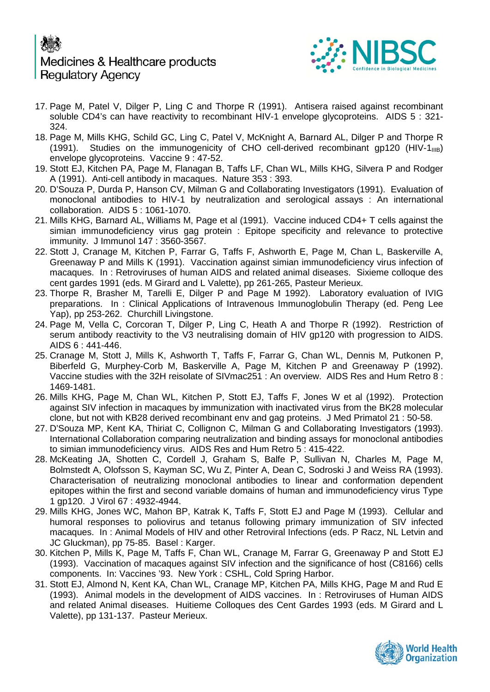## Medicines & Healthcare products **Regulatory Agency**



- 17. Page M, Patel V, Dilger P, Ling C and Thorpe R (1991). Antisera raised against recombinant soluble CD4's can have reactivity to recombinant HIV-1 envelope glycoproteins. AIDS 5 : 321- 324.
- 18. Page M, Mills KHG, Schild GC, Ling C, Patel V, McKnight A, Barnard AL, Dilger P and Thorpe R (1991). Studies on the immunogenicity of CHO cell-derived recombinant gp120 (HIV-1 $_{\text{IIIB}}$ ) envelope glycoproteins. Vaccine 9 : 47-52.
- 19. Stott EJ, Kitchen PA, Page M, Flanagan B, Taffs LF, Chan WL, Mills KHG, Silvera P and Rodger A (1991). Anti-cell antibody in macaques. Nature 353 : 393.
- 20. D'Souza P, Durda P, Hanson CV, Milman G and Collaborating Investigators (1991). Evaluation of monoclonal antibodies to HIV-1 by neutralization and serological assays : An international collaboration. AIDS 5 : 1061-1070.
- 21. Mills KHG, Barnard AL, Williams M, Page et al (1991). Vaccine induced CD4+ T cells against the simian immunodeficiency virus gag protein : Epitope specificity and relevance to protective immunity. J Immunol 147 : 3560-3567.
- 22. Stott J, Cranage M, Kitchen P, Farrar G, Taffs F, Ashworth E, Page M, Chan L, Baskerville A, Greenaway P and Mills K (1991). Vaccination against simian immunodeficiency virus infection of macaques. In : Retroviruses of human AIDS and related animal diseases. Sixieme colloque des cent gardes 1991 (eds. M Girard and L Valette), pp 261-265, Pasteur Merieux.
- 23. Thorpe R, Brasher M, Tarelli E, Dilger P and Page M 1992). Laboratory evaluation of IVIG preparations. In : Clinical Applications of Intravenous Immunoglobulin Therapy (ed. Peng Lee Yap), pp 253-262. Churchill Livingstone.
- 24. Page M, Vella C, Corcoran T, Dilger P, Ling C, Heath A and Thorpe R (1992). Restriction of serum antibody reactivity to the V3 neutralising domain of HIV gp120 with progression to AIDS. AIDS 6 : 441-446.
- 25. Cranage M, Stott J, Mills K, Ashworth T, Taffs F, Farrar G, Chan WL, Dennis M, Putkonen P, Biberfeld G, Murphey-Corb M, Baskerville A, Page M, Kitchen P and Greenaway P (1992). Vaccine studies with the 32H reisolate of SIVmac251 : An overview. AIDS Res and Hum Retro 8 : 1469-1481.
- 26. Mills KHG, Page M, Chan WL, Kitchen P, Stott EJ, Taffs F, Jones W et al (1992). Protection against SIV infection in macaques by immunization with inactivated virus from the BK28 molecular clone, but not with KB28 derived recombinant env and gag proteins. J Med Primatol 21 : 50-58.
- 27. D'Souza MP, Kent KA, Thiriat C, Collignon C, Milman G and Collaborating Investigators (1993). International Collaboration comparing neutralization and binding assays for monoclonal antibodies to simian immunodeficiency virus. AIDS Res and Hum Retro 5 : 415-422.
- 28. McKeating JA, Shotten C, Cordell J, Graham S, Balfe P, Sullivan N, Charles M, Page M, Bolmstedt A, Olofsson S, Kayman SC, Wu Z, Pinter A, Dean C, Sodroski J and Weiss RA (1993). Characterisation of neutralizing monoclonal antibodies to linear and conformation dependent epitopes within the first and second variable domains of human and immunodeficiency virus Type 1 gp120. J Virol 67 : 4932-4944.
- 29. Mills KHG, Jones WC, Mahon BP, Katrak K, Taffs F, Stott EJ and Page M (1993). Cellular and humoral responses to poliovirus and tetanus following primary immunization of SIV infected macaques. In : Animal Models of HIV and other Retroviral Infections (eds. P Racz, NL Letvin and JC Gluckman), pp 75-85. Basel : Karger.
- 30. Kitchen P, Mills K, Page M, Taffs F, Chan WL, Cranage M, Farrar G, Greenaway P and Stott EJ (1993). Vaccination of macaques against SIV infection and the significance of host (C8166) cells components. In: Vaccines '93. New York : CSHL, Cold Spring Harbor.
- 31. Stott EJ, Almond N, Kent KA, Chan WL, Cranage MP, Kitchen PA, Mills KHG, Page M and Rud E (1993). Animal models in the development of AIDS vaccines. In : Retroviruses of Human AIDS and related Animal diseases. Huitieme Colloques des Cent Gardes 1993 (eds. M Girard and L Valette), pp 131-137. Pasteur Merieux.

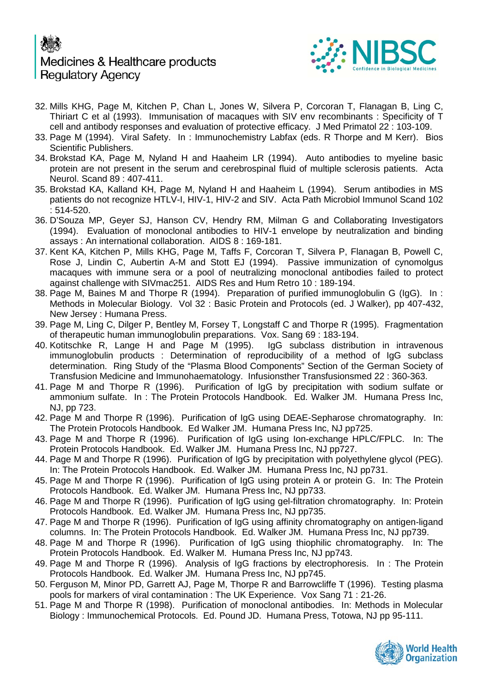## Medicines & Healthcare products **Regulatory Agency**



- 32. Mills KHG, Page M, Kitchen P, Chan L, Jones W, Silvera P, Corcoran T, Flanagan B, Ling C, Thiriart C et al (1993). Immunisation of macaques with SIV env recombinants : Specificity of T cell and antibody responses and evaluation of protective efficacy. J Med Primatol 22 : 103-109.
- 33. Page M (1994). Viral Safety. In : Immunochemistry Labfax (eds. R Thorpe and M Kerr). Bios Scientific Publishers.
- 34. Brokstad KA, Page M, Nyland H and Haaheim LR (1994). Auto antibodies to myeline basic protein are not present in the serum and cerebrospinal fluid of multiple sclerosis patients. Acta Neurol. Scand 89 : 407-411.
- 35. Brokstad KA, Kalland KH, Page M, Nyland H and Haaheim L (1994). Serum antibodies in MS patients do not recognize HTLV-I, HIV-1, HIV-2 and SIV. Acta Path Microbiol Immunol Scand 102 : 514-520.
- 36. D'Souza MP, Geyer SJ, Hanson CV, Hendry RM, Milman G and Collaborating Investigators (1994). Evaluation of monoclonal antibodies to HIV-1 envelope by neutralization and binding assays : An international collaboration. AIDS 8 : 169-181.
- 37. Kent KA, Kitchen P, Mills KHG, Page M, Taffs F, Corcoran T, Silvera P, Flanagan B, Powell C, Rose J, Lindin C, Aubertin A-M and Stott EJ (1994). Passive immunization of cynomolgus macaques with immune sera or a pool of neutralizing monoclonal antibodies failed to protect against challenge with SIVmac251. AIDS Res and Hum Retro 10 : 189-194.
- 38. Page M, Baines M and Thorpe R (1994). Preparation of purified immunoglobulin G (IgG). In : Methods in Molecular Biology. Vol 32 : Basic Protein and Protocols (ed. J Walker), pp 407-432, New Jersey : Humana Press.
- 39. Page M, Ling C, Dilger P, Bentley M, Forsey T, Longstaff C and Thorpe R (1995). Fragmentation of therapeutic human immunoglobulin preparations. Vox. Sang 69: 183-194.<br>Kotitschke R, Lange H and Page M (1995). IgG subclass distribution in intravenous
- 40. Kotitschke R, Lange H and Page M (1995). immunoglobulin products : Determination of reproducibility of a method of IgG subclass determination. Ring Study of the "Plasma Blood Components" Section of the German Society of Transfusion Medicine and Immunohaematology. Infusionsther Transfusionsmed 22 : 360-363.
- 41. Page M and Thorpe R (1996). Purification of IgG by precipitation with sodium sulfate or ammonium sulfate. In : The Protein Protocols Handbook. Ed. Walker JM. Humana Press Inc, NJ, pp 723.
- 42. Page M and Thorpe R (1996). Purification of IgG using DEAE-Sepharose chromatography. In: The Protein Protocols Handbook. Ed Walker JM. Humana Press Inc, NJ pp725.
- 43. Page M and Thorpe R (1996). Purification of IgG using Ion-exchange HPLC/FPLC. In: The Protein Protocols Handbook. Ed. Walker JM. Humana Press Inc, NJ pp727.
- 44. Page M and Thorpe R (1996). Purification of IgG by precipitation with polyethylene glycol (PEG). In: The Protein Protocols Handbook. Ed. Walker JM. Humana Press Inc, NJ pp731.
- 45. Page M and Thorpe R (1996). Purification of IgG using protein A or protein G. In: The Protein Protocols Handbook. Ed. Walker JM. Humana Press Inc, NJ pp733.
- 46. Page M and Thorpe R (1996). Purification of IgG using gel-filtration chromatography. In: Protein Protocols Handbook. Ed. Walker JM. Humana Press Inc, NJ pp735.
- 47. Page M and Thorpe R (1996). Purification of IgG using affinity chromatography on antigen-ligand columns. In: The Protein Protocols Handbook. Ed. Walker JM. Humana Press Inc, NJ pp739.
- 48. Page M and Thorpe R (1996). Purification of IgG using thiophilic chromatography. In: The Protein Protocols Handbook. Ed. Walker M. Humana Press Inc, NJ pp743.
- 49. Page M and Thorpe R (1996). Analysis of IgG fractions by electrophoresis. In : The Protein Protocols Handbook. Ed. Walker JM. Humana Press Inc, NJ pp745.
- 50. Ferguson M, Minor PD, Garrett AJ, Page M, Thorpe R and Barrowcliffe T (1996). Testing plasma pools for markers of viral contamination : The UK Experience. Vox Sang 71 : 21-26.
- 51. Page M and Thorpe R (1998). Purification of monoclonal antibodies. In: Methods in Molecular Biology : Immunochemical Protocols. Ed. Pound JD. Humana Press, Totowa, NJ pp 95-111.

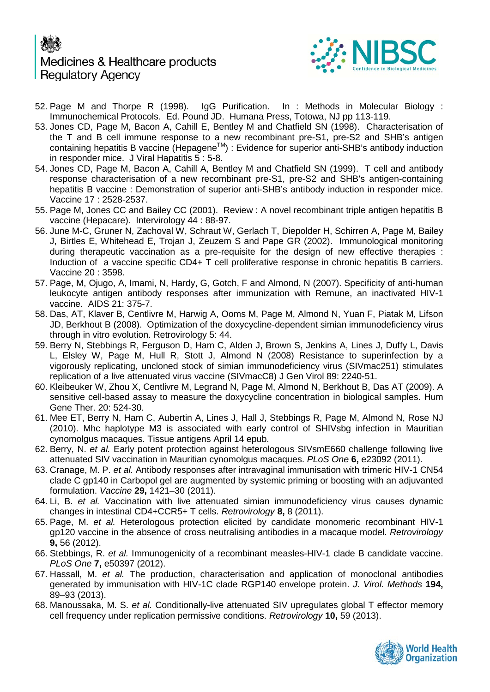# Medicines & Healthcare products **Regulatory Agency**



- 52. Page M and Thorpe R (1998). IgG Purification. In : Methods in Molecular Biology : Immunochemical Protocols. Ed. Pound JD. Humana Press, Totowa, NJ pp 113-119.
- 53. Jones CD, Page M, Bacon A, Cahill E, Bentley M and Chatfield SN (1998). Characterisation of the T and B cell immune response to a new recombinant pre-S1, pre-S2 and SHB's antigen containing hepatitis B vaccine (HepageneTM) : Evidence for superior anti-SHB's antibody induction in responder mice. J Viral Hapatitis 5 : 5-8.
- 54. Jones CD, Page M, Bacon A, Cahill A, Bentley M and Chatfield SN (1999). T cell and antibody response characterisation of a new recombinant pre-S1, pre-S2 and SHB's antigen-containing hepatitis B vaccine : Demonstration of superior anti-SHB's antibody induction in responder mice. Vaccine 17 : 2528-2537.
- 55. Page M, Jones CC and Bailey CC (2001). Review : A novel recombinant triple antigen hepatitis B vaccine (Hepacare). Intervirology 44 : 88-97.
- 56. June M-C, Gruner N, Zachoval W, Schraut W, Gerlach T, Diepolder H, Schirren A, Page M, Bailey J, Birtles E, Whitehead E, Trojan J, Zeuzem S and Pape GR (2002). Immunological monitoring during therapeutic vaccination as a pre-requisite for the design of new effective therapies : Induction of a vaccine specific CD4+ T cell proliferative response in chronic hepatitis B carriers. Vaccine 20 : 3598.
- 57. Page, M, Ojugo, A, Imami, N, Hardy, G, Gotch, F and Almond, N (2007). Specificity of anti-human leukocyte antigen antibody responses after immunization with Remune, an inactivated HIV-1 vaccine. AIDS 21: 375-7.
- 58. Das, AT, Klaver B, Centlivre M, Harwig A, Ooms M, Page M, Almond N, Yuan F, Piatak M, Lifson JD, Berkhout B (2008). Optimization of the doxycycline-dependent simian immunodeficiency virus through in vitro evolution. Retrovirology 5: 44.
- 59. [Berry N,](http://www.ncbi.nlm.nih.gov/pubmed?term=%22Berry%20N%22%5BAuthor%5D) [Stebbings R,](http://www.ncbi.nlm.nih.gov/pubmed?term=%22Stebbings%20R%22%5BAuthor%5D) [Ferguson D,](http://www.ncbi.nlm.nih.gov/pubmed?term=%22Ferguson%20D%22%5BAuthor%5D) [Ham C,](http://www.ncbi.nlm.nih.gov/pubmed?term=%22Ham%20C%22%5BAuthor%5D) [Alden J,](http://www.ncbi.nlm.nih.gov/pubmed?term=%22Alden%20J%22%5BAuthor%5D) [Brown S,](http://www.ncbi.nlm.nih.gov/pubmed?term=%22Brown%20S%22%5BAuthor%5D) [Jenkins A,](http://www.ncbi.nlm.nih.gov/pubmed?term=%22Jenkins%20A%22%5BAuthor%5D) [Lines J,](http://www.ncbi.nlm.nih.gov/pubmed?term=%22Lines%20J%22%5BAuthor%5D) [Duffy L,](http://www.ncbi.nlm.nih.gov/pubmed?term=%22Duffy%20L%22%5BAuthor%5D) [Davis](http://www.ncbi.nlm.nih.gov/pubmed?term=%22Davis%20L%22%5BAuthor%5D)  [L,](http://www.ncbi.nlm.nih.gov/pubmed?term=%22Davis%20L%22%5BAuthor%5D) [Elsley W,](http://www.ncbi.nlm.nih.gov/pubmed?term=%22Elsley%20W%22%5BAuthor%5D) [Page M,](http://www.ncbi.nlm.nih.gov/pubmed?term=%22Page%20M%22%5BAuthor%5D) [Hull R,](http://www.ncbi.nlm.nih.gov/pubmed?term=%22Hull%20R%22%5BAuthor%5D) [Stott J,](http://www.ncbi.nlm.nih.gov/pubmed?term=%22Stott%20J%22%5BAuthor%5D) [Almond N](http://www.ncbi.nlm.nih.gov/pubmed?term=%22Almond%20N%22%5BAuthor%5D) (2008) Resistance to superinfection by a vigorously replicating, uncloned stock of simian immunodeficiency virus (SIVmac251) stimulates replication of a live attenuated virus vaccine (SIVmacC8) J Gen Virol 89: 2240-51.
- 60. [Kleibeuker W,](http://www.ncbi.nlm.nih.gov/pubmed?term=%22Kleibeuker%20W%22%5BAuthor%5D) [Zhou X,](http://www.ncbi.nlm.nih.gov/pubmed?term=%22Zhou%20X%22%5BAuthor%5D) [Centlivre M,](http://www.ncbi.nlm.nih.gov/pubmed?term=%22Centlivre%20M%22%5BAuthor%5D) [Legrand N,](http://www.ncbi.nlm.nih.gov/pubmed?term=%22Legrand%20N%22%5BAuthor%5D) [Page M,](http://www.ncbi.nlm.nih.gov/pubmed?term=%22Page%20M%22%5BAuthor%5D) [Almond N,](http://www.ncbi.nlm.nih.gov/pubmed?term=%22Almond%20N%22%5BAuthor%5D) [Berkhout B,](http://www.ncbi.nlm.nih.gov/pubmed?term=%22Berkhout%20B%22%5BAuthor%5D) [Das AT](http://www.ncbi.nlm.nih.gov/pubmed?term=%22Das%20AT%22%5BAuthor%5D) (2009). A sensitive cell-based assay to measure the doxycycline concentration in biological samples. Hum Gene Ther. 20: 524-30.
- 61. [Mee ET,](http://www.ncbi.nlm.nih.gov/pubmed?term=%22Mee%20ET%22%5BAuthor%5D) [Berry N,](http://www.ncbi.nlm.nih.gov/pubmed?term=%22Berry%20N%22%5BAuthor%5D) [Ham C,](http://www.ncbi.nlm.nih.gov/pubmed?term=%22Ham%20C%22%5BAuthor%5D) [Aubertin A,](http://www.ncbi.nlm.nih.gov/pubmed?term=%22Aubertin%20A%22%5BAuthor%5D) [Lines J,](http://www.ncbi.nlm.nih.gov/pubmed?term=%22Lines%20J%22%5BAuthor%5D) [Hall J,](http://www.ncbi.nlm.nih.gov/pubmed?term=%22Hall%20J%22%5BAuthor%5D) [Stebbings R,](http://www.ncbi.nlm.nih.gov/pubmed?term=%22Stebbings%20R%22%5BAuthor%5D) [Page M,](http://www.ncbi.nlm.nih.gov/pubmed?term=%22Page%20M%22%5BAuthor%5D) [Almond N,](http://www.ncbi.nlm.nih.gov/pubmed?term=%22Almond%20N%22%5BAuthor%5D) [Rose NJ](http://www.ncbi.nlm.nih.gov/pubmed?term=%22Rose%20NJ%22%5BAuthor%5D) (2010). Mhc haplotype M3 is associated with early control of SHIVsbg infection in Mauritian cynomolgus macaques. Tissue antigens April 14 epub.
- 62. Berry, N. *et al.* Early potent protection against heterologous SIVsmE660 challenge following live attenuated SIV vaccination in Mauritian cynomolgus macaques. *PLoS One* **6,** e23092 (2011).
- 63. Cranage, M. P. *et al.* Antibody responses after intravaginal immunisation with trimeric HIV-1 CN54 clade C gp140 in Carbopol gel are augmented by systemic priming or boosting with an adjuvanted formulation. *Vaccine* **29,** 1421–30 (2011).
- 64. Li, B. *et al.* Vaccination with live attenuated simian immunodeficiency virus causes dynamic changes in intestinal CD4+CCR5+ T cells. *Retrovirology* **8,** 8 (2011).
- 65. Page, M. *et al.* Heterologous protection elicited by candidate monomeric recombinant HIV-1 gp120 vaccine in the absence of cross neutralising antibodies in a macaque model. *Retrovirology* **9,** 56 (2012).
- 66. Stebbings, R. *et al.* Immunogenicity of a recombinant measles-HIV-1 clade B candidate vaccine. *PLoS One* **7,** e50397 (2012).
- 67. Hassall, M. *et al.* The production, characterisation and application of monoclonal antibodies generated by immunisation with HIV-1C clade RGP140 envelope protein. *J. Virol. Methods* **194,** 89–93 (2013).
- 68. Manoussaka, M. S. *et al.* Conditionally-live attenuated SIV upregulates global T effector memory cell frequency under replication permissive conditions. *Retrovirology* **10,** 59 (2013).